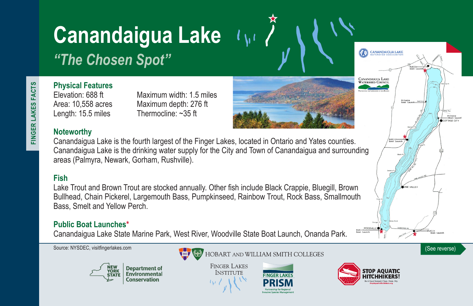# **Canandaigua Lake**

*"The Chosen Spot"*

**Physical Features**

Elevation: 688 ft Maximum width: 1.5 miles Area: 10,558 acres Maximum depth: 276 ft Length: 15.5 miles Thermocline: ~35 ft

# **Noteworthy**

Canandaigua Lake is the fourth largest of the Finger Lakes, located in Ontario and Yates counties. Canandaigua Lake is the drinking water supply for the City and Town of Canandaigua and surrounding areas (Palmyra, Newark, Gorham, Rushville).

# **Fish**

Lake Trout and Brown Trout are stocked annually. Other fish include Black Crappie, Bluegill, Brown Bullhead, Chain Pickerel, Largemouth Bass, Pumpkinseed, Rainbow Trout, Rock Bass, Smallmouth Bass, Smelt and Yellow Perch.

# **Public Boat Launches\***

Canandaigua Lake State Marine Park, West River, Woodville State Boat Launch, Onanda Park.





**FINGER LAKES INSTITUTE**